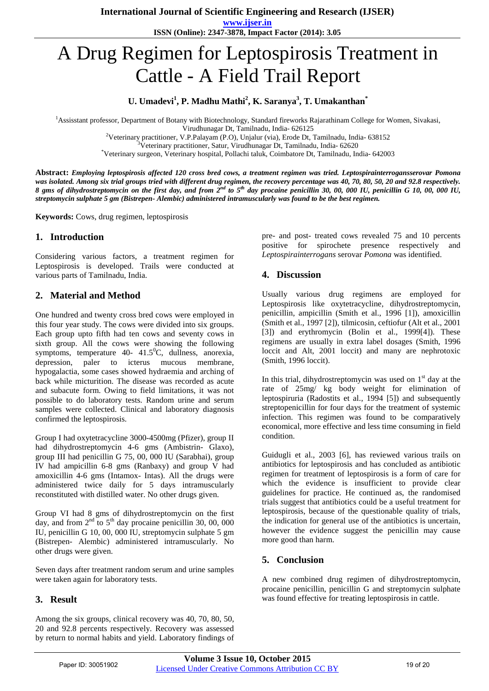**www.ijser.in ISSN (Online): 2347-3878, Impact Factor (2014): 3.05**

# A Drug Regimen for Leptospirosis Treatment in Cattle - A Field Trail Report

**U. Umadevi<sup>1</sup> , P. Madhu Mathi<sup>2</sup> , K. Saranya<sup>3</sup> , T. Umakanthan\***

<sup>1</sup>Assisstant professor, Department of Botany with Biotechnology, Standard fireworks Rajarathinam College for Women, Sivakasi, Virudhunagar Dt, Tamilnadu, India- 626125

<sup>2</sup>Veterinary practitioner, V.P.Palayam (P.O), Unjalur (via), Erode Dt, Tamilnadu, India- 638152

<sup>3</sup>Veterinary practitioner, Satur, Virudhunagar Dt, Tamilnadu, India- 62620

\*Veterinary surgeon, Veterinary hospital, Pollachi taluk, Coimbatore Dt, Tamilnadu, India- 642003

**Abstract:** *Employing leptospirosis affected 120 cross bred cows, a treatment regimen was tried. Leptospirainterrogansserovar Pomona was isolated. Among six trial groups tried with different drug regimen, the recovery percentage was 40, 70, 80, 50, 20 and 92.8 respectively. 8 gms of dihydrostreptomycin on the first day, and from 2nd to 5th day procaine penicillin 30, 00, 000 IU, penicillin G 10, 00, 000 IU, streptomycin sulphate 5 gm (Bistrepen- Alembic) administered intramuscularly was found to be the best regimen.*

**Keywords:** Cows, drug regimen, leptospirosis

#### **1. Introduction**

Considering various factors, a treatment regimen for Leptospirosis is developed. Trails were conducted at various parts of Tamilnadu, India.

## **2. Material and Method**

One hundred and twenty cross bred cows were employed in this four year study. The cows were divided into six groups. Each group upto fifth had ten cows and seventy cows in sixth group. All the cows were showing the following symptoms, temperature 40- 41.5 $^0$ C, dullness, anorexia, depression, paler to icterus mucous membrane, hypogalactia, some cases showed hydraemia and arching of back while micturition. The disease was recorded as acute and subacute form. Owing to field limitations, it was not possible to do laboratory tests. Random urine and serum samples were collected. Clinical and laboratory diagnosis confirmed the leptospirosis.

Group I had oxytetracycline 3000-4500mg (Pfizer), group II had dihydrostreptomycin 4-6 gms (Ambistrin- Glaxo), group III had penicillin G 75, 00, 000 IU (Sarabhai), group IV had ampicillin 6-8 gms (Ranbaxy) and group V had amoxicillin 4-6 gms (Intamox- Intas). All the drugs were administered twice daily for 5 days intramuscularly reconstituted with distilled water. No other drugs given.

Group VI had 8 gms of dihydrostreptomycin on the first day, and from  $2<sup>nd</sup>$  to  $5<sup>th</sup>$  day procaine penicillin 30, 00, 000 IU, penicillin G 10, 00, 000 IU, streptomycin sulphate 5 gm (Bistrepen- Alembic) administered intramuscularly. No other drugs were given.

Seven days after treatment random serum and urine samples were taken again for laboratory tests.

## **3. Result**

Among the six groups, clinical recovery was 40, 70, 80, 50, 20 and 92.8 percents respectively. Recovery was assessed by return to normal habits and yield. Laboratory findings of pre- and post- treated cows revealed 75 and 10 percents positive for spirochete presence respectively and *Leptospirainterrogans* serovar *Pomona* was identified.

#### **4. Discussion**

Usually various drug regimens are employed for Leptospirosis like oxytetracycline, dihydrostreptomycin, penicillin, ampicillin (Smith et al., 1996 [1]), amoxicillin (Smith et al., 1997 [2]), tilmicosin, ceftiofur (Alt et al., 2001 [3]) and erythromycin (Bolin et al., 1999[4]). These regimens are usually in extra label dosages (Smith, 1996 loccit and Alt, 2001 loccit) and many are nephrotoxic (Smith, 1996 loccit).

In this trial, dihydrostreptomycin was used on  $1<sup>st</sup>$  day at the rate of 25mg/ kg body weight for elimination of leptospiruria (Radostits et al., 1994 [5]) and subsequently streptopenicillin for four days for the treatment of systemic infection. This regimen was found to be comparatively economical, more effective and less time consuming in field condition.

Guidugli et al., 2003 [6], has reviewed various trails on antibiotics for leptospirosis and has concluded as antibiotic regimen for treatment of leptospirosis is a form of care for which the evidence is insufficient to provide clear guidelines for practice. He continued as, the randomised trials suggest that antibiotics could be a useful treatment for leptospirosis, because of the questionable quality of trials, the indication for general use of the antibiotics is uncertain, however the evidence suggest the penicillin may cause more good than harm.

# **5. Conclusion**

A new combined drug regimen of dihydrostreptomycin, procaine penicillin, penicillin G and streptomycin sulphate was found effective for treating leptospirosis in cattle.